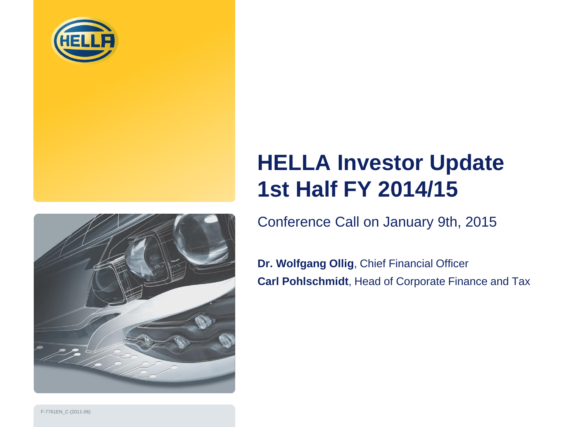





# **HELLA Investor Update 1st Half FY 2014/15**

Conference Call on January 9th, 2015

**Dr. Wolfgang Ollig**, Chief Financial Officer **Carl Pohlschmidt**, Head of Corporate Finance and Tax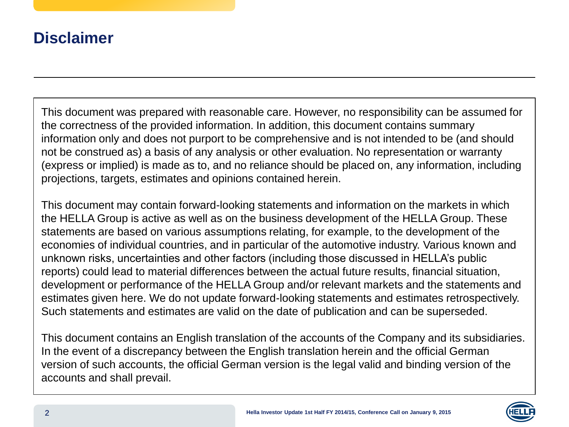#### **Disclaimer**

This document was prepared with reasonable care. However, no responsibility can be assumed for the correctness of the provided information. In addition, this document contains summary information only and does not purport to be comprehensive and is not intended to be (and should not be construed as) a basis of any analysis or other evaluation. No representation or warranty (express or implied) is made as to, and no reliance should be placed on, any information, including projections, targets, estimates and opinions contained herein.

This document may contain forward-looking statements and information on the markets in which the HELLA Group is active as well as on the business development of the HELLA Group. These statements are based on various assumptions relating, for example, to the development of the economies of individual countries, and in particular of the automotive industry. Various known and unknown risks, uncertainties and other factors (including those discussed in HELLA's public reports) could lead to material differences between the actual future results, financial situation, development or performance of the HELLA Group and/or relevant markets and the statements and estimates given here. We do not update forward-looking statements and estimates retrospectively. Such statements and estimates are valid on the date of publication and can be superseded.

This document contains an English translation of the accounts of the Company and its subsidiaries. In the event of a discrepancy between the English translation herein and the official German version of such accounts, the official German version is the legal valid and binding version of the accounts and shall prevail.

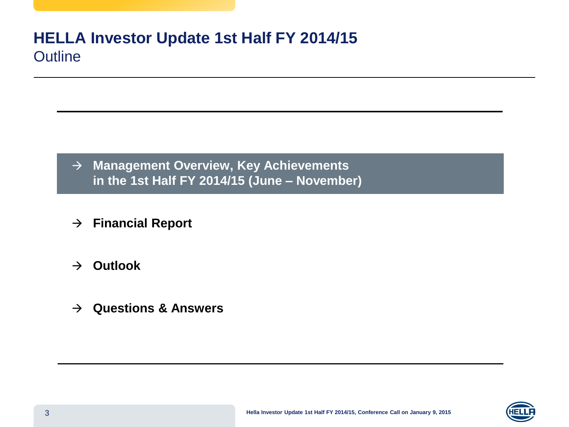#### **HELLA Investor Update 1st Half FY 2014/15 Outline**

- **Management Overview, Key Achievements in the 1st Half FY 2014/15 (June – November)**
- **Financial Report**
- $\rightarrow$  Outlook
- **Questions & Answers**

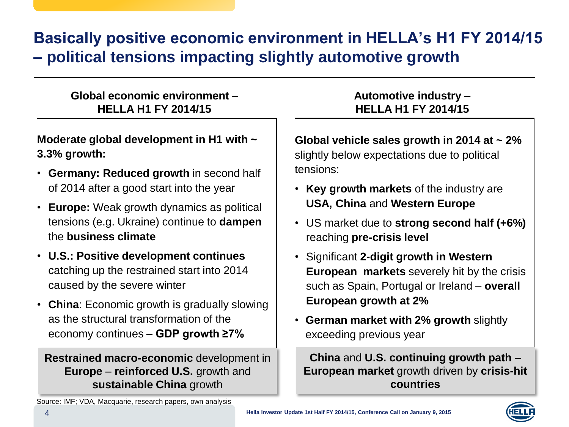## **Basically positive economic environment in HELLA's H1 FY 2014/15 – political tensions impacting slightly automotive growth**

#### **Global economic environment – HELLA H1 FY 2014/15**

**Moderate global development in H1 with ~ 3.3% growth:**

- **Germany: Reduced growth** in second half of 2014 after a good start into the year
- **Europe:** Weak growth dynamics as political tensions (e.g. Ukraine) continue to **dampen**  the **business climate**
- **U.S.: Positive development continues**  catching up the restrained start into 2014 caused by the severe winter
- **China**: Economic growth is gradually slowing as the structural transformation of the economy continues – **GDP growth ≥7%**

#### **Restrained macro-economic** development in **Europe** – **reinforced U.S.** growth and **sustainable China** growth

#### **Automotive industry – HELLA H1 FY 2014/15**

**Global vehicle sales growth in 2014 at ~ 2%**  slightly below expectations due to political tensions:

- **Key growth markets** of the industry are **USA, China** and **Western Europe**
- US market due to **strong second half (+6%)**  reaching **pre-crisis level**
- Significant **2-digit growth in Western European markets** severely hit by the crisis such as Spain, Portugal or Ireland – **overall European growth at 2%**
- **German market with 2% growth** slightly exceeding previous year

**China** and **U.S. continuing growth path** – **European market** growth driven by **crisis-hit countries**

Source: IMF; VDA, Macquarie, research papers, own analysis

4

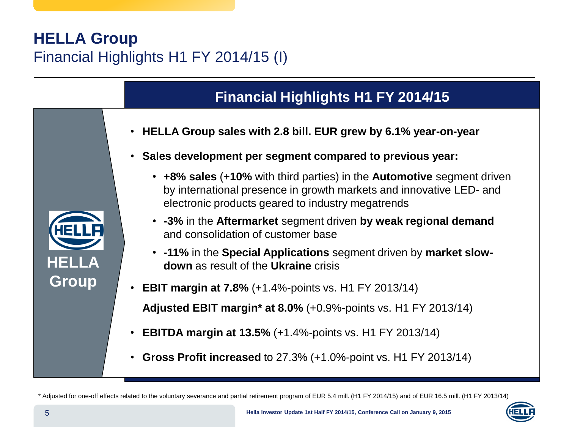## **HELLA Group** Financial Highlights H1 FY 2014/15 (I)

#### **Financial Highlights H1 FY 2014/15**

- **HELLA Group sales with 2.8 bill. EUR grew by 6.1% year-on-year**
- **Sales development per segment compared to previous year:**
	- **+8% sales** (+**10%** with third parties) in the **Automotive** segment driven by international presence in growth markets and innovative LED- and electronic products geared to industry megatrends
	- **-3%** in the **Aftermarket** segment driven **by weak regional demand**  and consolidation of customer base
	- **-11%** in the **Special Applications** segment driven by **market slowdown** as result of the **Ukraine** crisis
- **EBIT margin at 7.8%** (+1.4%-points vs. H1 FY 2013/14)

**Adjusted EBIT margin\* at 8.0%** (+0.9%-points vs. H1 FY 2013/14)

- **EBITDA margin at 13.5%** (+1.4%-points vs. H1 FY 2013/14)
- **Gross Profit increased** to 27.3% (+1.0%-point vs. H1 FY 2013/14)

\* Adjusted for one-off effects related to the voluntary severance and partial retirement program of EUR 5.4 mill. (H1 FY 2014/15) and of EUR 16.5 mill. (H1 FY 2013/14)

**HELLA**

**Group**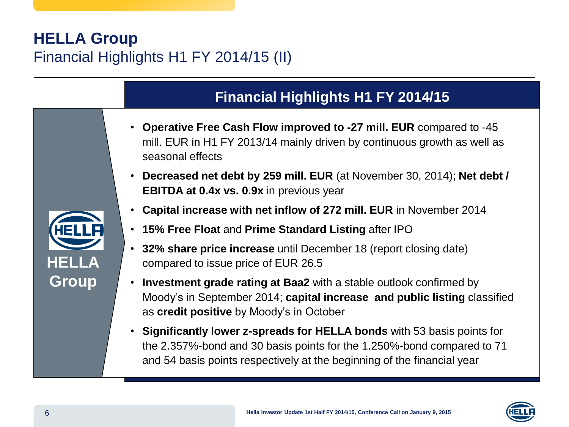### **HELLA Group** Financial Highlights H1 FY 2014/15 (II)

#### **Financial Highlights H1 FY 2014/15**

- **Operative Free Cash Flow improved to -27 mill. EUR** compared to -45 mill. EUR in H1 FY 2013/14 mainly driven by continuous growth as well as seasonal effects
- **Decreased net debt by 259 mill. EUR** (at November 30, 2014); **Net debt / EBITDA at 0.4x vs. 0.9x** in previous year
- **Capital increase with net inflow of 272 mill. EUR** in November 2014
- **15% Free Float** and **Prime Standard Listing** after IPO
- **32% share price increase** until December 18 (report closing date) compared to issue price of EUR 26.5
- **Investment grade rating at Baa2** with a stable outlook confirmed by Moody's in September 2014; **capital increase and public listing** classified as **credit positive** by Moody's in October
- **Significantly lower z-spreads for HELLA bonds** with 53 basis points for the 2.357%-bond and 30 basis points for the 1.250%-bond compared to 71 and 54 basis points respectively at the beginning of the financial year





**HELLA**

HEL

**Group**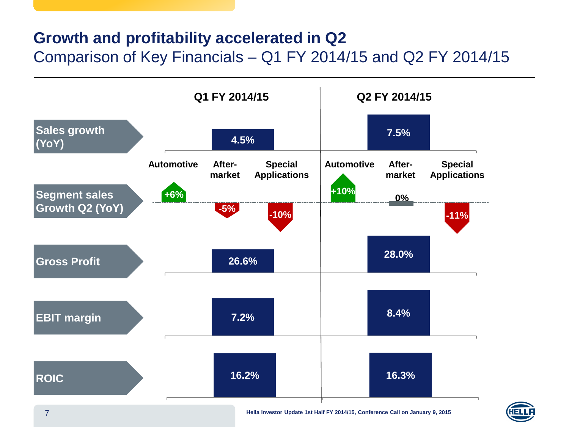#### **Growth and profitability accelerated in Q2** Comparison of Key Financials – Q1 FY 2014/15 and Q2 FY 2014/15

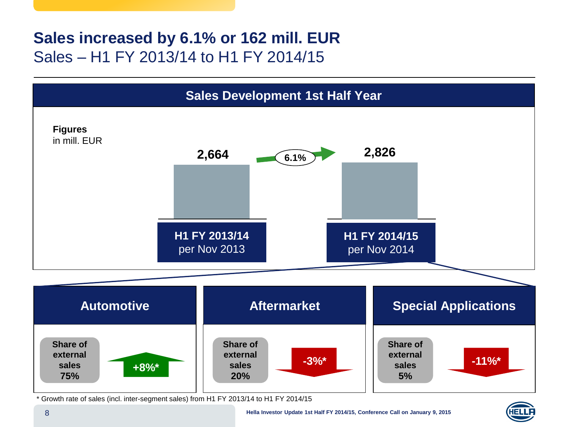#### **Sales increased by 6.1% or 162 mill. EUR** Sales – H1 FY 2013/14 to H1 FY 2014/15



\* Growth rate of sales (incl. inter-segment sales) from H1 FY 2013/14 to H1 FY 2014/15

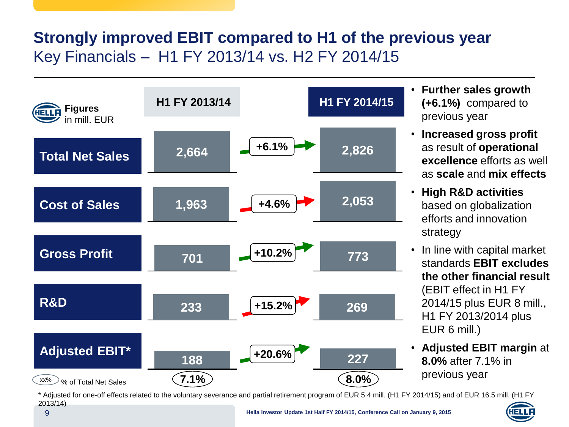### **Strongly improved EBIT compared to H1 of the previous year** Key Financials – H1 FY 2013/14 vs. H2 FY 2014/15



- **Further sales growth (+6.1%)** compared to previous year
- **Increased gross profit**  as result of **operational excellence** efforts as well as **scale** and **mix effects**
- **High R&D activities**  based on globalization efforts and innovation strategy
- In line with capital market standards **EBIT excludes the other financial result**  (EBIT effect in H1 FY 2014/15 plus EUR 8 mill., H1 FY 2013/2014 plus EUR 6 mill.)
- **Adjusted EBIT margin** at **8.0%** after 7.1% in previous year

\* Adjusted for one-off effects related to the voluntary severance and partial retirement program of EUR 5.4 mill. (H1 FY 2014/15) and of EUR 16.5 mill. (H1 FY 2013/14)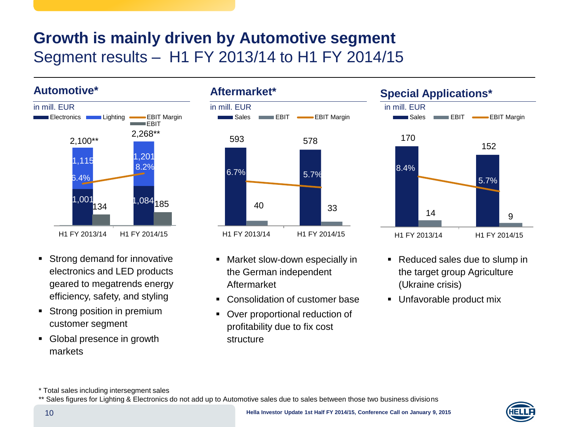## **Growth is mainly driven by Automotive segment** Segment results – H1 FY 2013/14 to H1 FY 2014/15



- Strong demand for innovative electronics and LED products geared to megatrends energy efficiency, safety, and styling
- **Strong position in premium** customer segment
- Global presence in growth markets



- **Market slow-down especially in** the German independent Aftermarket
- Consolidation of customer base
- Over proportional reduction of profitability due to fix cost structure



- Reduced sales due to slump in the target group Agriculture (Ukraine crisis)
- **Unfavorable product mix**

\* Total sales including intersegment sales

\*\* Sales figures for Lighting & Electronics do not add up to Automotive sales due to sales between those two business divisions

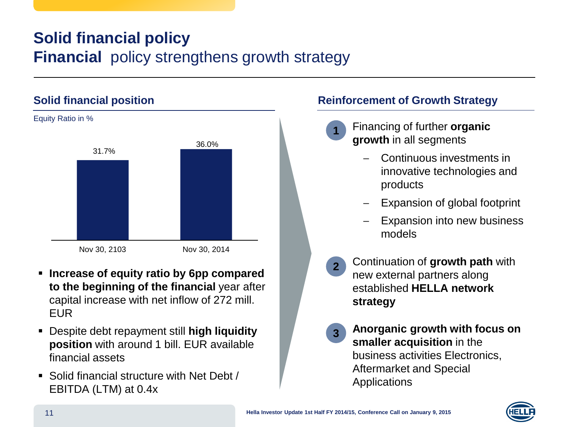## **Solid financial policy Financial** policy strengthens growth strategy

#### **Solid financial position**



- **Increase of equity ratio by 6pp compared to the beginning of the financial** year after capital increase with net inflow of 272 mill. EUR
- Despite debt repayment still **high liquidity position** with around 1 bill. EUR available financial assets
- Solid financial structure with Net Debt / EBITDA (LTM) at 0.4x

#### **Reinforcement of Growth Strategy**

- **1**
	- Financing of further **organic growth** in all segments
		- Continuous investments in innovative technologies and products
		- Expansion of global footprint
		- Expansion into new business models
	- Continuation of **growth path** with new external partners along established **HELLA network strategy 2**
	- **Anorganic growth with focus on smaller acquisition** in the business activities Electronics, Aftermarket and Special Applications **3**

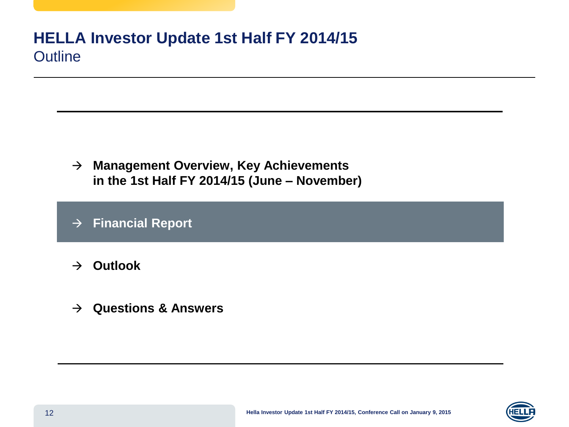#### **HELLA Investor Update 1st Half FY 2014/15 Outline**

- **Management Overview, Key Achievements in the 1st Half FY 2014/15 (June – November)**
- **Financial Report**
- $\rightarrow$  Outlook
- **Questions & Answers**

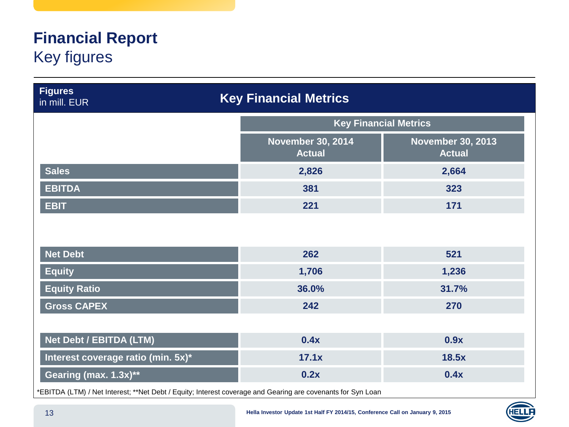## **Financial Report** Key figures

| <b>Figures</b><br><b>Key Financial Metrics</b><br>in mill. EUR                                              |                                           |                                           |  |  |
|-------------------------------------------------------------------------------------------------------------|-------------------------------------------|-------------------------------------------|--|--|
|                                                                                                             | <b>Key Financial Metrics</b>              |                                           |  |  |
|                                                                                                             | <b>November 30, 2014</b><br><b>Actual</b> | <b>November 30, 2013</b><br><b>Actual</b> |  |  |
| <b>Sales</b>                                                                                                | 2,826                                     | 2,664                                     |  |  |
| <b>EBITDA</b>                                                                                               | 381                                       | 323                                       |  |  |
| <b>EBIT</b>                                                                                                 | 221                                       | 171                                       |  |  |
|                                                                                                             |                                           |                                           |  |  |
| <b>Net Debt</b>                                                                                             | 262                                       | 521                                       |  |  |
| <b>Equity</b>                                                                                               | 1,706                                     | 1,236                                     |  |  |
| <b>Equity Ratio</b>                                                                                         | 36.0%                                     | 31.7%                                     |  |  |
| <b>Gross CAPEX</b>                                                                                          | 242                                       | 270                                       |  |  |
|                                                                                                             |                                           |                                           |  |  |
| Net Debt / EBITDA (LTM)                                                                                     | 0.4x                                      | 0.9x                                      |  |  |
| Interest coverage ratio (min. 5x)*                                                                          | 17.1x                                     | 18.5x                                     |  |  |
| Gearing (max. 1.3x)**                                                                                       | 0.2x                                      | 0.4x                                      |  |  |
| *EBITDA (LTM) / Net Interest; **Net Debt / Equity; Interest coverage and Gearing are covenants for Syn Loan |                                           |                                           |  |  |

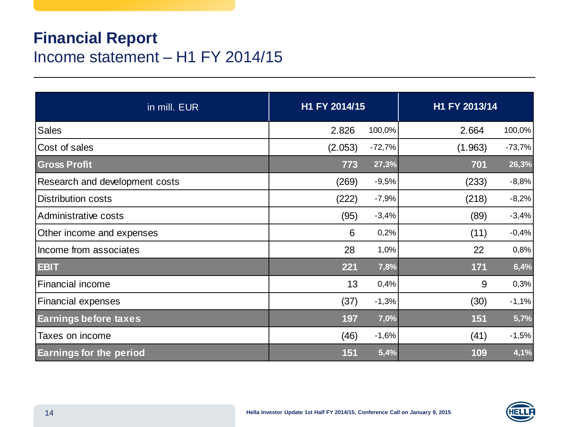#### **Financial Report** Income statement – H1 FY 2014/15

| in mill. EUR                   | H1 FY 2014/15 |          | H1 FY 2013/14 |          |
|--------------------------------|---------------|----------|---------------|----------|
| <b>Sales</b>                   | 2.826         | 100,0%   | 2.664         | 100,0%   |
| Cost of sales                  | (2.053)       | $-72,7%$ | (1.963)       | $-73,7%$ |
| <b>Gross Profit</b>            | 773           | 27,3%    | 701           | 26,3%    |
| Research and development costs | (269)         | $-9,5%$  | (233)         | $-8,8%$  |
| <b>Distribution costs</b>      | (222)         | $-7,9%$  | (218)         | $-8,2%$  |
| Administrative costs           | (95)          | $-3,4%$  | (89)          | $-3,4%$  |
| Other income and expenses      | 6             | 0,2%     | (11)          | $-0,4%$  |
| Income from associates         | 28            | 1,0%     | 22            | 0,8%     |
| <b>EBIT</b>                    | 221           | 7,8%     | 171           | 6,4%     |
| Financial income               | 13            | 0,4%     | 9             | 0,3%     |
| <b>Financial expenses</b>      | (37)          | $-1,3%$  | (30)          | $-1,1%$  |
| <b>Earnings before taxes</b>   | 197           | 7,0%     | 151           | 5,7%     |
| Taxes on income                | (46)          | $-1,6%$  | (41)          | $-1,5%$  |
| <b>Earnings for the period</b> | 151           | 5,4%     | 109           | 4,1%     |

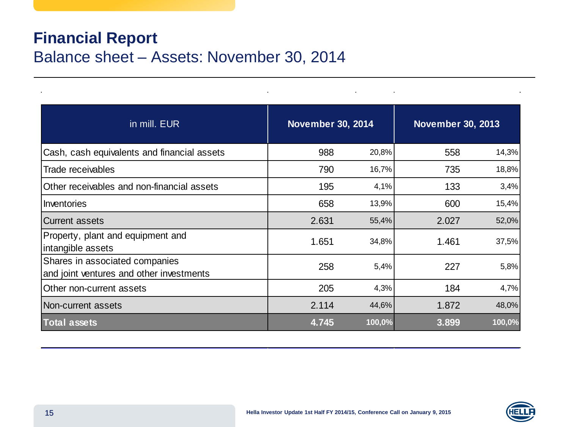#### **Financial Report** Balance sheet – Assets: November 30, 2014

| in mill. EUR                                                               | <b>November 30, 2014</b> |        | <b>November 30, 2013</b> |        |
|----------------------------------------------------------------------------|--------------------------|--------|--------------------------|--------|
| Cash, cash equivalents and financial assets                                | 988                      | 20,8%  | 558                      | 14,3%  |
| Trade receivables                                                          | 790                      | 16,7%  | 735                      | 18,8%  |
| Other receivables and non-financial assets                                 | 195                      | 4,1%   | 133                      | 3,4%   |
| Inventories                                                                | 658                      | 13,9%  | 600                      | 15,4%  |
| <b>Current assets</b>                                                      | 2.631                    | 55,4%  | 2.027                    | 52,0%  |
| Property, plant and equipment and<br>intangible assets                     | 1.651                    | 34,8%  | 1.461                    | 37,5%  |
| Shares in associated companies<br>and joint ventures and other investments | 258                      | 5,4%   | 227                      | 5,8%   |
| Other non-current assets                                                   | 205                      | 4,3%   | 184                      | 4,7%   |
| Non-current assets                                                         | 2.114                    | 44,6%  | 1.872                    | 48,0%  |
| <b>Total assets</b>                                                        | 4.745                    | 100,0% | 3.899                    | 100,0% |

ä.

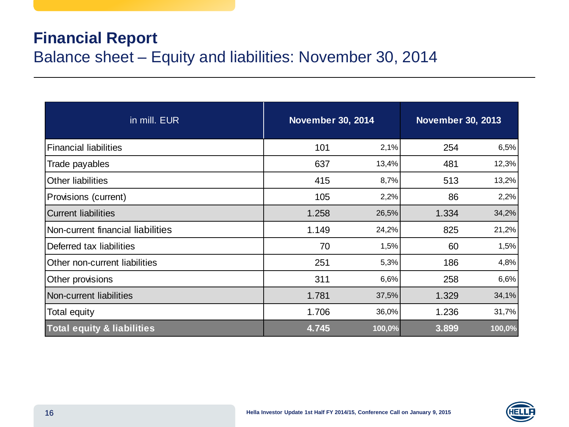#### **Financial Report** Balance sheet – Equity and liabilities: November 30, 2014

| in mill. EUR                          | <b>November 30, 2014</b> |        | <b>November 30, 2013</b> |        |
|---------------------------------------|--------------------------|--------|--------------------------|--------|
| <b>Financial liabilities</b>          | 101                      | 2,1%   | 254                      | 6,5%   |
| Trade payables                        | 637                      | 13,4%  | 481                      | 12,3%  |
| <b>Other liabilities</b>              | 415                      | 8,7%   | 513                      | 13,2%  |
| Provisions (current)                  | 105                      | 2,2%   | 86                       | 2,2%   |
| <b>Current liabilities</b>            | 1.258                    | 26,5%  | 1.334                    | 34,2%  |
| Non-current financial liabilities     | 1.149                    | 24,2%  | 825                      | 21,2%  |
| Deferred tax liabilities              | 70                       | 1,5%   | 60                       | 1,5%   |
| Other non-current liabilities         | 251                      | 5,3%   | 186                      | 4,8%   |
| Other provisions                      | 311                      | 6,6%   | 258                      | 6,6%   |
| Non-current liabilities               | 1.781                    | 37,5%  | 1.329                    | 34,1%  |
| Total equity                          | 1.706                    | 36,0%  | 1.236                    | 31,7%  |
| <b>Total equity &amp; liabilities</b> | 4.745                    | 100,0% | 3.899                    | 100,0% |

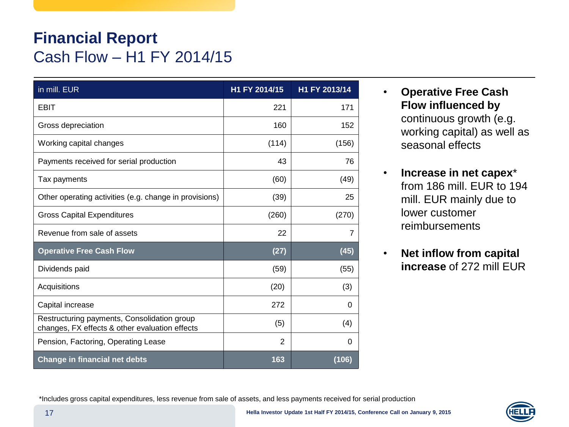## **Financial Report** Cash Flow – H1 FY 2014/15

| in mill. EUR                                                                                  | H1 FY 2014/15  | H1 FY 2013/14  |
|-----------------------------------------------------------------------------------------------|----------------|----------------|
| EBIT                                                                                          | 221            | 171            |
| Gross depreciation                                                                            | 160            | 152            |
| Working capital changes                                                                       | (114)          | (156)          |
| Payments received for serial production                                                       | 43             | 76             |
| Tax payments                                                                                  | (60)           | (49)           |
| Other operating activities (e.g. change in provisions)                                        | (39)           | 25             |
| <b>Gross Capital Expenditures</b>                                                             | (260)          | (270)          |
| Revenue from sale of assets                                                                   | 22             | $\overline{7}$ |
| <b>Operative Free Cash Flow</b>                                                               | (27)           | (45)           |
| Dividends paid                                                                                | (59)           | (55)           |
| Acquisitions                                                                                  | (20)           | (3)            |
| Capital increase                                                                              | 272            | 0              |
| Restructuring payments, Consolidation group<br>changes, FX effects & other evaluation effects | (5)            | (4)            |
| Pension, Factoring, Operating Lease                                                           | $\overline{2}$ | $\Omega$       |
| <b>Change in financial net debts</b>                                                          | 163            | (106)          |

- **Operative Free Cash Flow influenced by**  continuous growth (e.g. working capital) as well as seasonal effects
- **Increase in net capex**\* from 186 mill. EUR to 194 mill. EUR mainly due to lower customer reimbursements
- **Net inflow from capital increase** of 272 mill EUR

\*Includes gross capital expenditures, less revenue from sale of assets, and less payments received for serial production

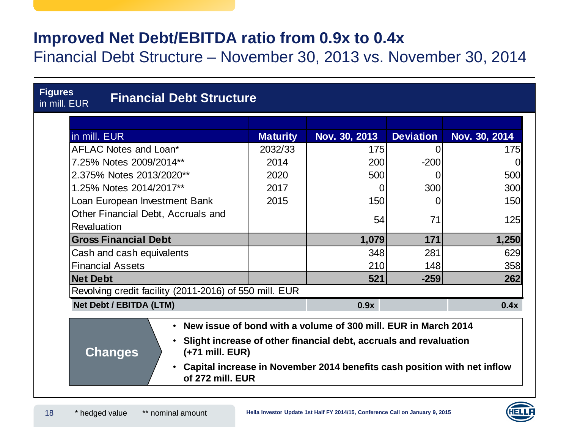#### **Improved Net Debt/EBITDA ratio from 0.9x to 0.4x**

Financial Debt Structure – November 30, 2013 vs. November 30, 2014

| <b>Figures</b><br><b>Financial Debt Structure</b><br>in mill. EUR                                                                                                                                                                                                            |                                                        |               |                  |               |  |  |
|------------------------------------------------------------------------------------------------------------------------------------------------------------------------------------------------------------------------------------------------------------------------------|--------------------------------------------------------|---------------|------------------|---------------|--|--|
|                                                                                                                                                                                                                                                                              |                                                        |               |                  |               |  |  |
| in mill. EUR                                                                                                                                                                                                                                                                 | <b>Maturity</b>                                        | Nov. 30, 2013 | <b>Deviation</b> | Nov. 30, 2014 |  |  |
| AFLAC Notes and Loan*                                                                                                                                                                                                                                                        | 2032/33                                                | 175           | 0                | 175           |  |  |
| 7.25% Notes 2009/2014**                                                                                                                                                                                                                                                      | 2014                                                   | 200           | $-200$           |               |  |  |
| 2.375% Notes 2013/2020**                                                                                                                                                                                                                                                     | 2020                                                   | 500           | O                | 500           |  |  |
| 1.25% Notes 2014/2017**                                                                                                                                                                                                                                                      | 2017                                                   | 0             | 300              | 300           |  |  |
| Loan European Investment Bank                                                                                                                                                                                                                                                | 2015                                                   | 150           | 0                | 150           |  |  |
| Other Financial Debt, Accruals and                                                                                                                                                                                                                                           |                                                        | 54            | 71               | 125           |  |  |
| Revaluation                                                                                                                                                                                                                                                                  |                                                        |               |                  |               |  |  |
| <b>Gross Financial Debt</b>                                                                                                                                                                                                                                                  |                                                        | 1,079         | 171              | 1,250         |  |  |
| Cash and cash equivalents                                                                                                                                                                                                                                                    |                                                        | 348           | 281              | 629           |  |  |
| <b>Financial Assets</b>                                                                                                                                                                                                                                                      |                                                        | 210           | 148              | 358           |  |  |
| <b>Net Debt</b>                                                                                                                                                                                                                                                              |                                                        | 521           | $-259$           | 262           |  |  |
|                                                                                                                                                                                                                                                                              | Revolving credit facility (2011-2016) of 550 mill. EUR |               |                  |               |  |  |
| <b>Net Debt / EBITDA (LTM)</b>                                                                                                                                                                                                                                               |                                                        | 0.9x          |                  | 0.4x          |  |  |
| • New issue of bond with a volume of 300 mill. EUR in March 2014<br>Slight increase of other financial debt, accruals and revaluation<br><b>Changes</b><br>(+71 mill. EUR)<br>• Capital increase in November 2014 benefits cash position with net inflow<br>of 272 mill. EUR |                                                        |               |                  |               |  |  |

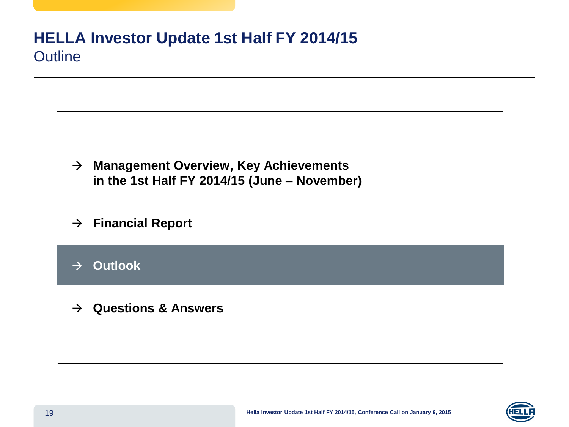#### **HELLA Investor Update 1st Half FY 2014/15 Outline**

- **Management Overview, Key Achievements in the 1st Half FY 2014/15 (June – November)**
- **Financial Report**
- **Outlook**
- **Questions & Answers**

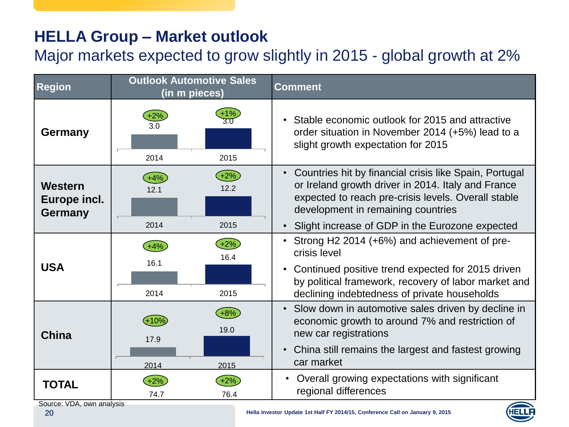### **HELLA Group – Market outlook**

Major markets expected to grow slightly in 2015 - global growth at 2%

| <b>Region</b>                      | <b>Outlook Automotive Sales</b><br>(in m pieces) |               | <b>Comment</b>                                                                                                                                                                                                         |
|------------------------------------|--------------------------------------------------|---------------|------------------------------------------------------------------------------------------------------------------------------------------------------------------------------------------------------------------------|
| Germany                            | 3.0<br>2014                                      | 2015          | Stable economic outlook for 2015 and attractive<br>$\bullet$<br>order situation in November 2014 (+5%) lead to a<br>slight growth expectation for 2015                                                                 |
| Western<br>Europe incl.<br>Germany | $+4%$<br>12.1                                    | $+2%$<br>12.2 | Countries hit by financial crisis like Spain, Portugal<br>$\bullet$<br>or Ireland growth driver in 2014. Italy and France<br>expected to reach pre-crisis levels. Overall stable<br>development in remaining countries |
|                                    | 2014                                             | 2015          | Slight increase of GDP in the Eurozone expected<br>$\bullet$                                                                                                                                                           |
|                                    | $+4%$                                            | $+2%$<br>16.4 | • Strong H2 2014 (+6%) and achievement of pre-<br>crisis level                                                                                                                                                         |
| <b>USA</b>                         | 16.1<br>2014                                     | 2015          | Continued positive trend expected for 2015 driven<br>$\bullet$<br>by political framework, recovery of labor market and<br>declining indebtedness of private households                                                 |
| <b>China</b>                       | $+10%$<br>17.9                                   | $+8%$<br>19.0 | • Slow down in automotive sales driven by decline in<br>economic growth to around 7% and restriction of<br>new car registrations                                                                                       |
|                                    | 2014                                             | 2015          | China still remains the largest and fastest growing<br>$\bullet$<br>car market                                                                                                                                         |
| TOTAL                              | 74.7                                             | 76.4          | Overall growing expectations with significant<br>$\bullet$<br>regional differences                                                                                                                                     |

Source: VDA, own analysis

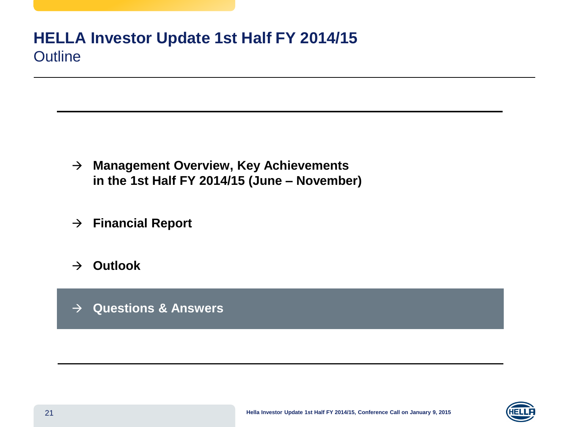#### **HELLA Investor Update 1st Half FY 2014/15 Outline**

- **Management Overview, Key Achievements in the 1st Half FY 2014/15 (June – November)**
- **Financial Report**
- $\rightarrow$  Outlook
- **Questions & Answers**